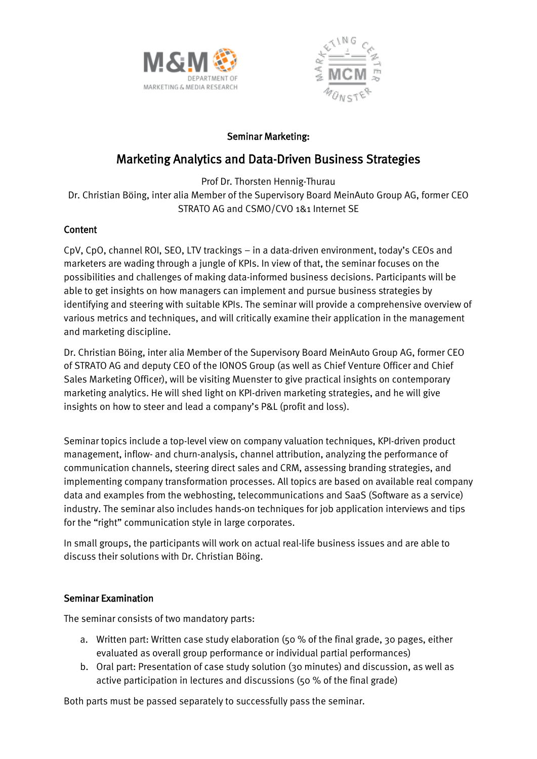



# Seminar Marketing:

# Marketing Analytics and Data-Driven Business Strategies

Prof Dr. Thorsten Hennig-Thurau

Dr. Christian Böing, inter alia Member of the Supervisory Board MeinAuto Group AG, former CEO STRATO AG and CSMO/CVO 1&1 Internet SE

# **Content**

CpV, CpO, channel ROI, SEO, LTV trackings – in a data-driven environment, today's CEOs and marketers are wading through a jungle of KPIs. In view of that, the seminar focuses on the possibilities and challenges of making data-informed business decisions. Participants will be able to get insights on how managers can implement and pursue business strategies by identifying and steering with suitable KPIs. The seminar will provide a comprehensive overview of various metrics and techniques, and will critically examine their application in the management and marketing discipline.

Dr. Christian Böing, inter alia Member of the Supervisory Board MeinAuto Group AG, former CEO of STRATO AG and deputy CEO of the IONOS Group (as well as Chief Venture Officer and Chief Sales Marketing Officer), will be visiting Muenster to give practical insights on contemporary marketing analytics. He will shed light on KPI-driven marketing strategies, and he will give insights on how to steer and lead a company's P&L (profit and loss).

Seminar topics include a top-level view on company valuation techniques, KPI-driven product management, inflow- and churn-analysis, channel attribution, analyzing the performance of communication channels, steering direct sales and CRM, assessing branding strategies, and implementing company transformation processes. All topics are based on available real company data and examples from the webhosting, telecommunications and SaaS (Software as a service) industry. The seminar also includes hands-on techniques for job application interviews and tips for the "right" communication style in large corporates.

In small groups, the participants will work on actual real-life business issues and are able to discuss their solutions with Dr. Christian Böing.

# Seminar Examination

The seminar consists of two mandatory parts:

- a. Written part: Written case study elaboration (50 % of the final grade, 30 pages, either evaluated as overall group performance or individual partial performances)
- b. Oral part: Presentation of case study solution (30 minutes) and discussion, as well as active participation in lectures and discussions (50 % of the final grade)

Both parts must be passed separately to successfully pass the seminar.